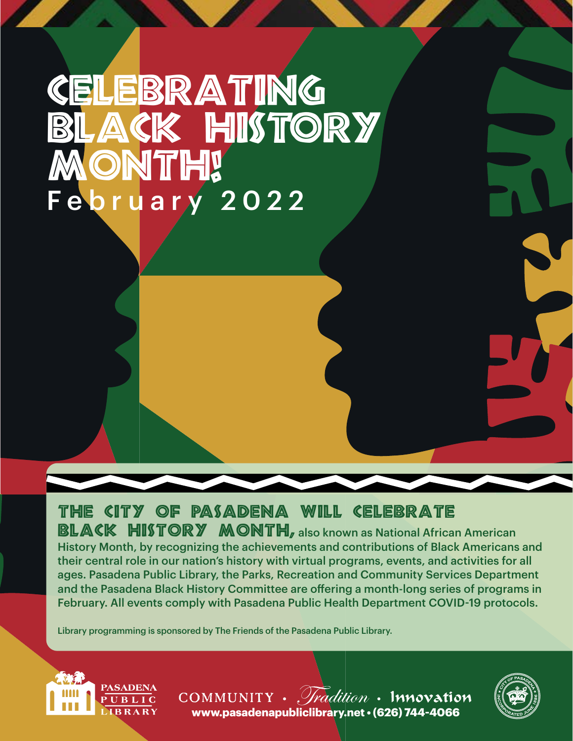# CELEBRATING ACK HISTORY ONTH! February 2022

## The City of Pasadena will celebrate

BLACK HISTORY MONTH, also known as National African American History Month, by recognizing the achievements and contributions of Black Americans and their central role in our nation's history with virtual programs, events, and activities for all ages. Pasadena Public Library, the Parks, Recreation and Community Services Department and the Pasadena Black History Committee are offering a month-long series of programs in February. All events comply with Pasadena Public Health Department COVID-19 protocols.

Library programming is sponsored by The Friends of the Pasadena Public Library.





 $COMMUNITY$  .  $\mathcal{V}$ *radition* . Innovation **[www.pasadenapubliclibrary.net](https://www.cityofpasadena.net/library/) • (626) 744-4066**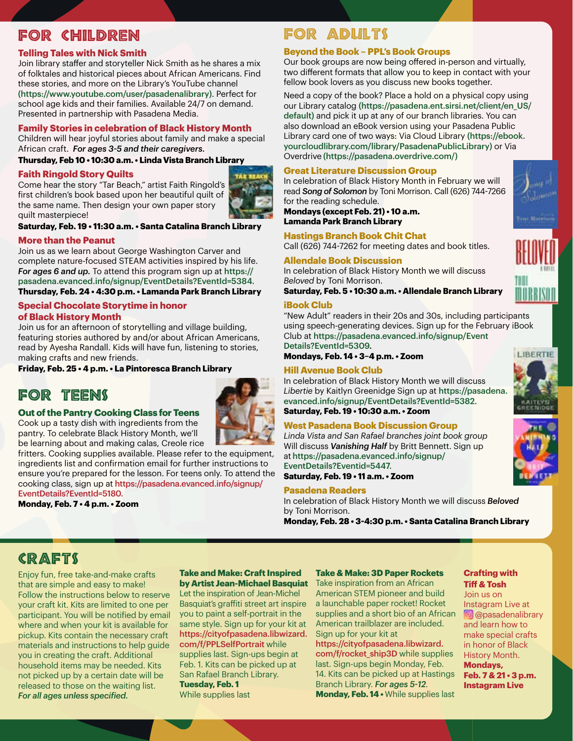## For Children

#### **Telling Tales with Nick Smith**

Join library staffer and storyteller Nick Smith as he shares a mix of folktales and historical pieces about African Americans. Find these stories, and more on the Library's YouTube channel [\(https://www.youtube.com/user/pasadenalibrary\)](https://www.youtube.com/user/pasadenalibrary). Perfect for school age kids and their families. Available 24/7 on demand. Presented in partnership with Pasadena Media.

#### **Family Stories in celebration of Black History Month**

Children will hear joyful stories about family and make a special African craft. *For ages 3-5 and their caregivers.*

#### **Thursday, Feb 10 • 10:30 a.m. • Linda Vista Branch Library**

#### **Faith Ringold Story Quilts**

Come hear the story "Tar Beach," artist Faith Ringold's first children's book based upon her beautiful quilt of the same name. Then design your own paper story quilt masterpiece!



#### **Saturday, Feb. 19 • 11:30 a.m. • Santa Catalina Branch Library**

#### **More than the Peanut**

Join us as we learn about George Washington Carver and complete nature-focused STEAM activities inspired by his life. *For ages 6 and up.* To attend this program sign up at https:// pasadena.evanced.info/signup/EventDetails?EventId=5384.

**Thursday, Feb. 24 • 4:30 p.m. • Lamanda Park Branch Library**

### **Special Chocolate Storytime in honor**

#### **of Black History Month**

Join us for an afternoon of storytelling and village building, featuring stories authored by and/or about African Americans, read by Ayesha Randall. Kids will have fun, listening to stories, making crafts and new friends.

#### **Friday, Feb. 25 • 4 p.m. • La Pintoresca Branch Library**

## For Teens

#### **Out of the Pantry Cooking Class for Teens**

Cook up a tasty dish with ingredients from the pantry. To celebrate Black History Month, we'll be learning about and making calas, Creole rice

fritters. Cooking supplies available. Please refer to the equipment, ingredients list and confirmation email for further instructions to ensure you're prepared for the lesson. For teens only. To attend the cooking class, sign up at [https://pasadena.evanced.info/signup/](https://pasadena.evanced.info/signup/EventDetails?EventId=5180) [EventDetails?EventId=5180](https://pasadena.evanced.info/signup/EventDetails?EventId=5180).

**Monday, Feb. 7 • 4 p.m. • Zoom** 

## For Adults

#### **Beyond the Book – PPL's Book Groups**

Our book groups are now being offered in-person and virtually, two different formats that allow you to keep in contact with your fellow book lovers as you discuss new books together.

Need a copy of the book? Place a hold on a physical copy using our Library catalog [\(https://pasadena.ent.sirsi.net/client/en\\_US/](https://pasadena.ent.sirsi.net/client/en_US/) default) and pick it up at any of our branch libraries. You can also download an eBook version using your Pasadena Public Library card one of two ways: Via Cloud Library [\(https://ebook.](https://ebook.yourcloudlibrary.com/library/PasadenaPublicLibrary) [yourcloudlibrary.com/library/PasadenaPublicLibrary](https://ebook.yourcloudlibrary.com/library/PasadenaPublicLibrary)) or Via Overdrive [\(https://pasadena.overdrive.com/](https://pasadena.overdrive.com/))

#### **Great Literature Discussion Group**

In celebration of Black History Month in February we will read *Song of Solomon* by Toni Morrison. Call (626) 744-7266 for the reading schedule.

**Mondays (except Feb. 21) • 10 a.m. Lamanda Park Branch Library**

**Hastings Branch Book Chit Chat** Call (626) 744-7262 for meeting dates and book titles.

### **Allendale Book Discussion**

In celebration of Black History Month we will discuss *Beloved* by Toni Morrison.

**Saturday, Feb. 5 • 10:30 a.m. • Allendale Branch Library**

#### **iBook Club**

"New Adult" readers in their 20s and 30s, including participants using speech-generating devices. Sign up for the February iBook Club at [https://pasadena.evanced.info/signup/Event](https://pasadena.evanced.info/signup/EventDetails?EventId=5309) Details?EventId=5309.

**Mondays, Feb. 14 • 3–4 p.m. • Zoom**

#### **Hill Avenue Book Club**

In celebration of Black History Month we will discuss *Libertie* by Kaitlyn Greenidge Sign up at [https://pasadena.](https://pasadena.evanced.info/signup/EventDetails?EventId=5382) [evanced.info/signup/EventDetails?EventId=5382](https://pasadena.evanced.info/signup/EventDetails?EventId=5382).

**Saturday, Feb. 19 • 10:30 a.m. • Zoom**

#### **West Pasadena Book Discussion Group**

*Linda Vista and San Rafael branches joint book group* Will discuss *Vanishing Half* by Britt Bennett. Sign up at [https://pasadena.evanced.info/signup/](https://pasadena.evanced.info/signup/EventDetails?Eventid=5447) [EventDetails?Eventid=5447](https://pasadena.evanced.info/signup/EventDetails?Eventid=5447).

**Saturday, Feb. 19 • 11 a.m. • Zoom**

#### **Pasadena Readers**

In celebration of Black History Month we will discuss *Beloved*  by Toni Morrison.

**Monday, Feb. 28 • 3-4:30 p.m. • Santa Catalina Branch Library**

## **CRAFTS**

Enjoy fun, free take-and-make crafts that are simple and easy to make! Follow the instructions below to reserve your craft kit. Kits are limited to one per participant. You will be notified by email where and when your kit is available for pickup. Kits contain the necessary craft materials and instructions to help guide you in creating the craft. Additional household items may be needed. Kits not picked up by a certain date will be released to those on the waiting list. *For all ages unless specified.*

#### **Take and Make: Craft Inspired by Artist Jean-Michael Basquiat**

Let the inspiration of Jean-Michel Basquiat's graffiti street art inspire you to paint a self-portrait in the same style. Sign up for your kit at [https://cityofpasadena.libwizard.](https://cityofpasadena.libwizard.com/f/PPLSelfPortrait) [com/f/PPLSelfPortrait](https://cityofpasadena.libwizard.com/f/PPLSelfPortrait) while supplies last. Sign-ups begin at Feb. 1. Kits can be picked up at San Rafael Branch Library. **Tuesday, Feb. 1** While supplies last

#### **Take & Make: 3D Paper Rockets**

Take inspiration from an African American STEM pioneer and build a launchable paper rocket! Rocket supplies and a short bio of an African American trailblazer are included. Sign up for your kit at [https://cityofpasadena.libwizard.](https://cityofpasadena.libwizard.com/f/rocket_ship3D) [com/f/rocket\\_ship3D](https://cityofpasadena.libwizard.com/f/rocket_ship3D) while supplies

last. Sign-ups begin Monday, Feb. 14. Kits can be picked up at Hastings Branch Library. *For ages 5-12.* **Monday, Feb. 14 •** While supplies last

#### **Crafting with Tiff & Tosh**

Join us on Instagram Live at **[@pasadenalibrary](https://www.instagram.com/pasadenalibrary/?hl=en)** and learn how to make special crafts in honor of Black History Month. **Mondays, Feb. 7 & 21 • 3 p.m. Instagram Live**







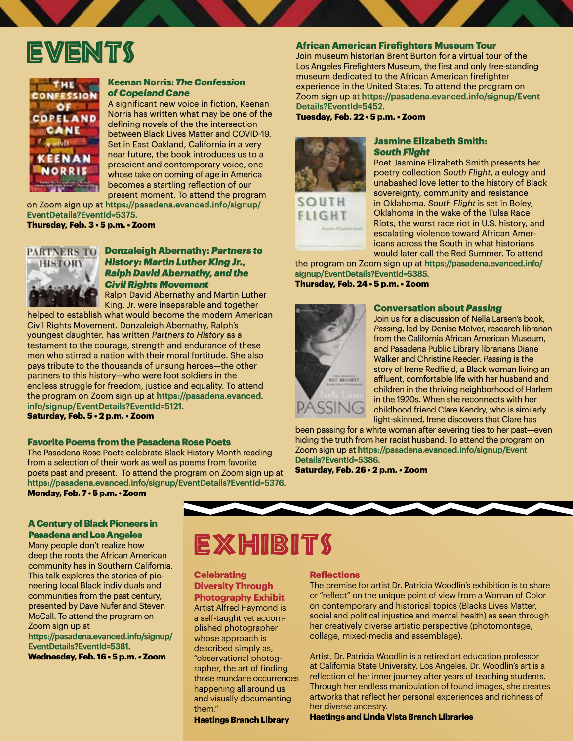## **EVENTS**



#### **Keenan Norris:** *The Confession of Copeland Cane*

A significant new voice in fiction, Keenan Norris has written what may be one of the defining novels of the the intersection between Black Lives Matter and COVID-19. Set in East Oakland, California in a very near future, the book introduces us to a prescient and contemporary voice, one whose take on coming of age in America becomes a startling reflection of our present moment. To attend the program

on Zoom sign up at [https://pasadena.evanced.info/signup/](https://pasadena.evanced.info/signup/EventDetails?EventId=5375) [EventDetails?EventId=5375](https://pasadena.evanced.info/signup/EventDetails?EventId=5375). **Thursday, Feb. 3 • 5 p.m. • Zoom**



#### **PARTNERS TO Donzaleigh Abernathy: Partners to** *History: Martin Luther King Jr., Ralph David Abernathy, and the Civil Rights Movement*

Ralph David Abernathy and Martin Luther King, Jr. were inseparable and together helped to establish what would become the modern American

Civil Rights Movement. Donzaleigh Abernathy, Ralph's youngest daughter, has written *Partners to History* as a testament to the courage, strength and endurance of these men who stirred a nation with their moral fortitude. She also pays tribute to the thousands of unsung heroes—the other partners to this history—who were foot soldiers in the endless struggle for freedom, justice and equality. To attend the program on Zoom sign up at [https://pasadena.evanced.](https://pasadena.evanced.info/signup/EventDetails?EventId=5121) [info/signup/EventDetails?EventId=5121](https://pasadena.evanced.info/signup/EventDetails?EventId=5121). **Saturday, Feb. 5 • 2 p.m. • Zoom**

#### **Favorite Poems from the Pasadena Rose Poets**

The Pasadena Rose Poets celebrate Black History Month reading from a selection of their work as well as poems from favorite poets past and present. To attend the program on Zoom sign up at [https://pasadena.evanced.info/s](https://pasadena.evanced.info/
signup/EventDetails?EventId=5376)ignup/EventDetails?EventId=5376. **Monday, Feb. 7 • 5 p.m. • Zoom**

#### **A Century of Black Pioneers in Pasadena and Los Angeles**

Many people don't realize how deep the roots the African American community has in Southern California. This talk explores the stories of pioneering local Black individuals and communities from the past century, presented by Dave Nufer and Steven McCall. To attend the program on Zoom sign up at

[https://pasadena.evanced.info/signup/](https://pasadena.evanced.info/signup/EventDetails?EventId=5381) [EventDetails?EventId=5381.](https://pasadena.evanced.info/signup/EventDetails?EventId=5381)

**[Wednesday,](https://pasadena.evanced.info/signup/EventDetails?EventId=5381) Feb. 16 • 5 p.m. • Zoom**

#### **African American Firefighters Museum Tour**

Join museum historian Brent Burton for a virtual tour of the Los Angeles Firefighters Museum, the first and only free-standing museum dedicated to the African American firefighter experience in the United States. To attend the program on Zoom sign up at [https://pasadena.evanced.info/signup/Event](https://pasadena.evanced.info/signup/EventDetails?EventId=5452) Details?EventId=5452.

**Tuesday, Feb. 22 • 5 p.m. • Zoom**



#### **Jasmine Elizabeth Smith:**  *South Flight*

Poet Jasmine Elizabeth Smith presents her poetry collection *South Flight*, a eulogy and unabashed love letter to the history of Black sovereignty, community and resistance in Oklahoma. *South Flight* is set in Boley, Oklahoma in the wake of the Tulsa Race Riots, the worst race riot in U.S. history, and escalating violence toward African Americans across the South in what historians would later call the Red Summer. To attend

the program on Zoom sign up at [https://pasadena.evanced.info/](https://pasadena.evanced.info/signup/EventDetails?EventId=5385) [signup/EventDetails?EventId=5385](https://pasadena.evanced.info/signup/EventDetails?EventId=5385).

**Thursday, Feb. 24 • 5 p.m. • Zoom**



#### **Conversation about** *Passing*

Join us for a discussion of Nella Larsen's book, *Passing*, led by Denise McIver, research librarian from the California African American Museum, and Pasadena Public Library librarians Diane Walker and Christine Reeder. *Passing* is the story of Irene Redfield, a Black woman living an affluent, comfortable life with her husband and children in the thriving neighborhood of Harlem in the 1920s. When she reconnects with her childhood friend Clare Kendry, who is similarly light-skinned, Irene discovers that Clare has

been passing for a white woman after severing ties to her past—even hiding the truth from her racist husband. To attend the program on Zoom sign up at [https://pasadena.evanced.info/signup/Event](https://pasadena.evanced.info/signup/EventDetails?EventId=5386) Details?EventId=5386.

**Saturday, Feb. 26 • 2 p.m. • Zoom**

## **EXHIBITS**

#### **Celebrating Diversity Through Photography Exhibit**

Artist Alfred Haymond is a self-taught yet accomplished photographer whose approach is described simply as, "observational photographer, the art of finding those mundane occurrences happening all around us and visually documenting them."

**Hastings Branch Library**

#### **Reflections**

The premise for artist Dr. Patricia Woodlin's exhibition is to share or "reflect" on the unique point of view from a Woman of Color on contemporary and historical topics (Blacks Lives Matter, social and political injustice and mental health) as seen through her creatively diverse artistic perspective (photomontage, collage, mixed-media and assemblage).

Artist, Dr. Patricia Woodlin is a retired art education professor at California State University, Los Angeles. Dr. Woodlin's art is a reflection of her inner journey after years of teaching students. Through her endless manipulation of found images, she creates artworks that reflect her personal experiences and richness of her diverse ancestry.

**Hastings and Linda Vista Branch Libraries**